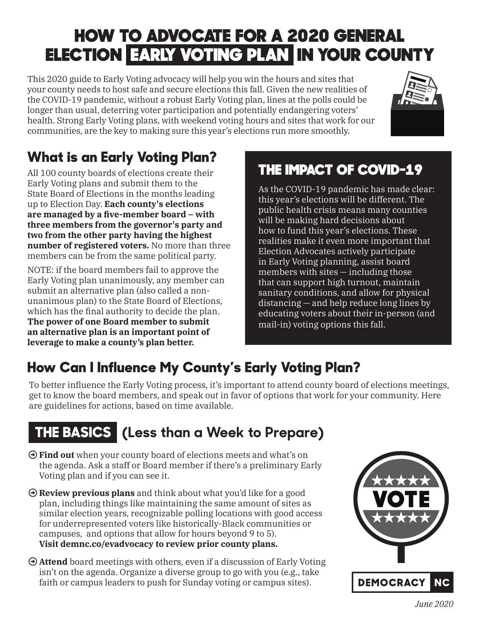## HOW TO ADVOCATE FOR A 2020 GENERAL ELECTION EARLY VOTING PLAN IN YOUR COUNTY

This 2020 guide to Early Voting advocacy will help you win the hours and sites that your county needs to host safe and secure elections this fall. Given the new realities of the COVID-19 pandemic, without a robust Early Voting plan, lines at the polls could be longer than usual, deterring voter participation and potentially endangering voters' health. Strong Early Voting plans, with weekend voting hours and sites that work for our communities, are the key to making sure this year's elections run more smoothly.



## **What is an Early Voting Plan?**

All 100 county boards of elections create their Early Voting plans and submit them to the State Board of Elections in the months leading up to Election Day. **Each county's elections**  are managed by a five-member board – with **three members from the governor's party and two from the other party having the highest number of registered voters.** No more than three members can be from the same political party.

NOTE: if the board members fail to approve the Early Voting plan unanimously, any member can submit an alternative plan (also called a nonunanimous plan) to the State Board of Elections, which has the final authority to decide the plan. **The power of one Board member to submit an alternative plan is an important point of leverage to make a county's plan better.** 

### THE IMPACT OF COVID-19

As the COVID-19 pandemic has made clear: this year's elections will be different. The public health crisis means many counties will be making hard decisions about how to fund this year's elections. These realities make it even more important that Election Advocates actively participate in Early Voting planning, assist board members with sites — including those that can support high turnout, maintain sanitary conditions, and allow for physical distancing — and help reduce long lines by educating voters about their in-person (and mail-in) voting options this fall.

## **How Can I Influence My County's Early Voting Plan?**

To better influence the Early Voting process, it's important to attend county board of elections meetings, get to know the board members, and speak out in favor of options that work for your community. Here are guidelines for actions, based on time available.

## **THE BASICS (Less than a Week to Prepare)**

- **Find out** when your county board of elections meets and what's on the agenda. Ask a staff or Board member if there's a preliminary Early Voting plan and if you can see it.
- **Review previous plans** and think about what you'd like for a good plan, including things like maintaining the same amount of sites as similar election years, recognizable polling locations with good access for underrepresented voters like historically-Black communities or campuses, and options that allow for hours beyond 9 to 5). **Visit demnc.co/evadvocacy to review prior county plans.**
- **Attend** board meetings with others, even if a discussion of Early Voting isn't on the agenda. Organize a diverse group to go with you (e.g., take faith or campus leaders to push for Sunday voting or campus sites).

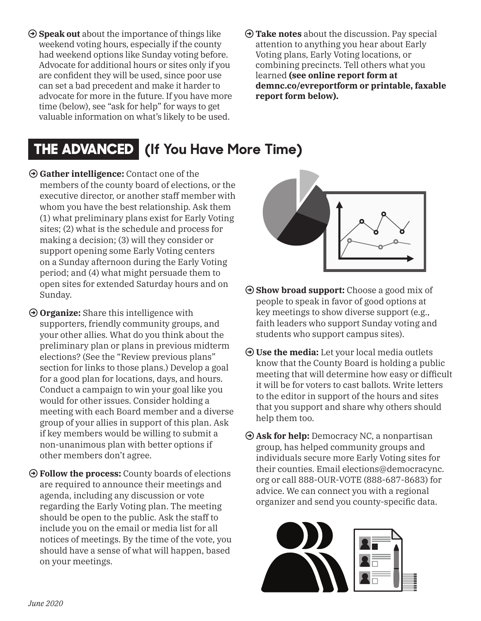- **Speak out** about the importance of things like weekend voting hours, especially if the county had weekend options like Sunday voting before. Advocate for additional hours or sites only if you are confident they will be used, since poor use can set a bad precedent and make it harder to advocate for more in the future. If you have more time (below), see "ask for help" for ways to get valuable information on what's likely to be used.
- **Take notes** about the discussion. Pay special attention to anything you hear about Early Voting plans, Early Voting locations, or combining precincts. Tell others what you learned **(see online report form at demnc.co/evreportform or printable, faxable report form below).**

## **THE ADVANCED (If You Have More Time)**

- **Gather intelligence:** Contact one of the members of the county board of elections, or the executive director, or another staff member with whom you have the best relationship. Ask them (1) what preliminary plans exist for Early Voting sites; (2) what is the schedule and process for making a decision; (3) will they consider or support opening some Early Voting centers on a Sunday afternoon during the Early Voting period; and (4) what might persuade them to open sites for extended Saturday hours and on Sunday.
- **Organize:** Share this intelligence with supporters, friendly community groups, and your other allies. What do you think about the preliminary plan or plans in previous midterm elections? (See the "Review previous plans" section for links to those plans.) Develop a goal for a good plan for locations, days, and hours. Conduct a campaign to win your goal like you would for other issues. Consider holding a meeting with each Board member and a diverse group of your allies in support of this plan. Ask if key members would be willing to submit a non-unanimous plan with better options if other members don't agree.
- $\Theta$  Follow the process: County boards of elections are required to announce their meetings and agenda, including any discussion or vote regarding the Early Voting plan. The meeting should be open to the public. Ask the staff to include you on the email or media list for all notices of meetings. By the time of the vote, you should have a sense of what will happen, based on your meetings.



- **Show broad support:** Choose a good mix of people to speak in favor of good options at key meetings to show diverse support (e.g., faith leaders who support Sunday voting and students who support campus sites).
- **Use the media:** Let your local media outlets know that the County Board is holding a public meeting that will determine how easy or difficult it will be for voters to cast ballots. Write letters to the editor in support of the hours and sites that you support and share why others should help them too.
- **Ask for help:** Democracy NC, a nonpartisan group, has helped community groups and individuals secure more Early Voting sites for their counties. Email elections@democracync. org or call 888-OUR-VOTE (888-687-8683) for advice. We can connect you with a regional organizer and send you county-specific data.

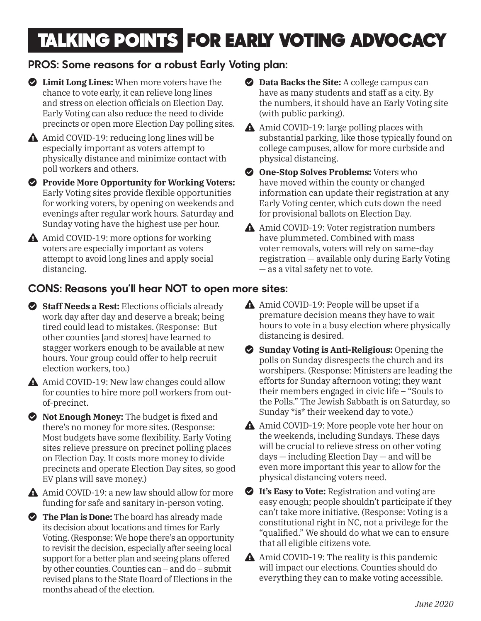# TALKING POINTS FOR EARLY VOTING ADVOCACY

#### **PROS: Some reasons for a robust Early Voting plan:**

- **Limit Long Lines:** When more voters have the chance to vote early, it can relieve long lines and stress on election officials on Election Day. Early Voting can also reduce the need to divide precincts or open more Election Day polling sites.

 Amid COVID-19: reducing long lines will be especially important as voters attempt to physically distance and minimize contact with poll workers and others.

- **Provide More Opportunity for Working Voters:** Early Voting sites provide flexible opportunities for working voters, by opening on weekends and evenings after regular work hours. Saturday and Sunday voting have the highest use per hour.

 Amid COVID-19: more options for working voters are especially important as voters attempt to avoid long lines and apply social distancing.

- **Data Backs the Site:** A college campus can have as many students and staff as a city. By the numbers, it should have an Early Voting site (with public parking).
- Amid COVID-19: large polling places with substantial parking, like those typically found on college campuses, allow for more curbside and physical distancing.
- **2 One-Stop Solves Problems:** Voters who have moved within the county or changed information can update their registration at any Early Voting center, which cuts down the need for provisional ballots on Election Day.
- A Amid COVID-19: Voter registration numbers have plummeted. Combined with mass voter removals, voters will rely on same-day registration — available only during Early Voting — as a vital safety net to vote.

#### **CONS: Reasons you'll hear NOT to open more sites:**

Staff Needs a Rest: Elections officials already work day after day and deserve a break; being tired could lead to mistakes. (Response: But other counties [and stores] have learned to stagger workers enough to be available at new hours. Your group could offer to help recruit election workers, too.)

A Amid COVID-19: New law changes could allow for counties to hire more poll workers from outof-precinct.

 $\bullet$  Not Enough Money: The budget is fixed and there's no money for more sites. (Response: Most budgets have some flexibility. Early Voting sites relieve pressure on precinct polling places on Election Day. It costs more money to divide precincts and operate Election Day sites, so good EV plans will save money.)

 Amid COVID-19: a new law should allow for more funding for safe and sanitary in-person voting.

 $\bullet$  The Plan is Done: The board has already made its decision about locations and times for Early Voting. (Response: We hope there's an opportunity to revisit the decision, especially after seeing local support for a better plan and seeing plans offered by other counties. Counties can – and do – submit revised plans to the State Board of Elections in the months ahead of the election.

- Amid COVID-19: People will be upset if a premature decision means they have to wait hours to vote in a busy election where physically distancing is desired.
- **Sunday Voting is Anti-Religious:** Opening the polls on Sunday disrespects the church and its worshipers. (Response: Ministers are leading the efforts for Sunday afternoon voting; they want their members engaged in civic life – "Souls to the Polls." The Jewish Sabbath is on Saturday, so Sunday \*is\* their weekend day to vote.)
- A Amid COVID-19: More people vote her hour on the weekends, including Sundays. These days will be crucial to relieve stress on other voting days — including Election Day — and will be even more important this year to allow for the physical distancing voters need.

 $\bullet$  It's Easy to Vote: Registration and voting are easy enough; people shouldn't participate if they can't take more initiative. (Response: Voting is a constitutional right in NC, not a privilege for the "qualified." We should do what we can to ensure that all eligible citizens vote.

A Amid COVID-19: The reality is this pandemic will impact our elections. Counties should do everything they can to make voting accessible.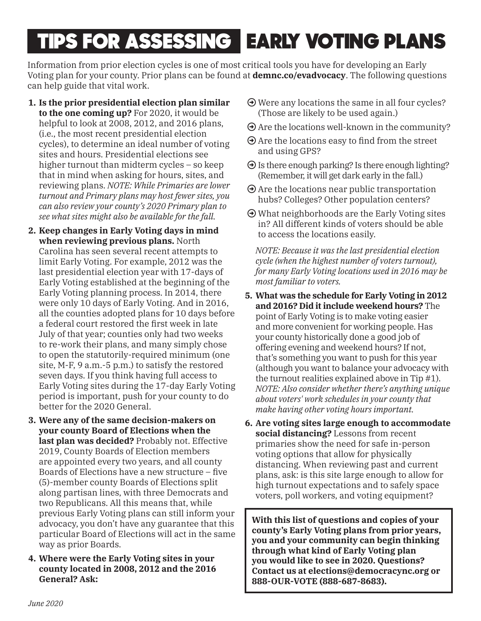# TIPS FOR ASSESSING EARLY VOTING PLANS

Information from prior election cycles is one of most critical tools you have for developing an Early Voting plan for your county. Prior plans can be found at **demnc.co/evadvocacy**. The following questions can help guide that vital work.

- **1. Is the prior presidential election plan similar to the one coming up?** For 2020, it would be helpful to look at 2008, 2012, and 2016 plans, (i.e., the most recent presidential election cycles), to determine an ideal number of voting sites and hours. Presidential elections see higher turnout than midterm cycles – so keep that in mind when asking for hours, sites, and reviewing plans. *NOTE: While Primaries are lower turnout and Primary plans may host fewer sites, you can also review your county's 2020 Primary plan to see what sites might also be available for the fall.*
- **2. Keep changes in Early Voting days in mind when reviewing previous plans.** North Carolina has seen several recent attempts to limit Early Voting. For example, 2012 was the last presidential election year with 17-days of Early Voting established at the beginning of the Early Voting planning process. In 2014, there were only 10 days of Early Voting. And in 2016, all the counties adopted plans for 10 days before a federal court restored the first week in late July of that year; counties only had two weeks to re-work their plans, and many simply chose to open the statutorily-required minimum (one site, M-F, 9 a.m.-5 p.m.) to satisfy the restored seven days. If you think having full access to Early Voting sites during the 17-day Early Voting period is important, push for your county to do better for the 2020 General.
- **3. Were any of the same decision-makers on your county Board of Elections when the last plan was decided?** Probably not. Effective 2019, County Boards of Election members are appointed every two years, and all county Boards of Elections have a new structure  $-$  five (5)-member county Boards of Elections split along partisan lines, with three Democrats and two Republicans. All this means that, while previous Early Voting plans can still inform your advocacy, you don't have any guarantee that this particular Board of Elections will act in the same way as prior Boards.
- **4. Where were the Early Voting sites in your county located in 2008, 2012 and the 2016 General? Ask:**
- $\Theta$  Were any locations the same in all four cycles? (Those are likely to be used again.)
- $\Theta$  Are the locations well-known in the community?
- $\Theta$  Are the locations easy to find from the street and using GPS?
- $\Theta$  Is there enough parking? Is there enough lighting? (Remember, it will get dark early in the fall.)
- $\Theta$  Are the locations near public transportation hubs? Colleges? Other population centers?
- $\Theta$  What neighborhoods are the Early Voting sites in? All different kinds of voters should be able to access the locations easily.

*NOTE: Because it was the last presidential election cycle (when the highest number of voters turnout), for many Early Voting locations used in 2016 may be most familiar to voters.* 

- **5. What was the schedule for Early Voting in 2012 and 2016? Did it include weekend hours?** The point of Early Voting is to make voting easier and more convenient for working people. Has your county historically done a good job of offering evening and weekend hours? If not, that's something you want to push for this year (although you want to balance your advocacy with the turnout realities explained above in Tip #1). *NOTE: Also consider whether there's anything unique about voters' work schedules in your county that make having other voting hours important.*
- **6. Are voting sites large enough to accommodate social distancing?** Lessons from recent primaries show the need for safe in-person voting options that allow for physically distancing. When reviewing past and current plans, ask: is this site large enough to allow for high turnout expectations and to safely space voters, poll workers, and voting equipment?

**With this list of questions and copies of your county's Early Voting plans from prior years, you and your community can begin thinking through what kind of Early Voting plan you would like to see in 2020. Questions? Contact us at elections@democracync.org or 888-OUR-VOTE (888-687-8683).**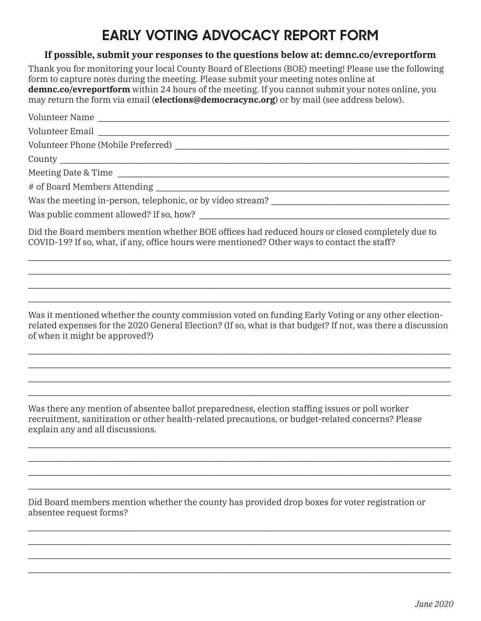### **EARLY VOTING ADVOCACY REPORT FORM**

#### **If possible, submit your responses to the questions below at: demnc.co/evreportform**

Thank you for monitoring your local County Board of Elections (BOE) meeting! Please use the following form to capture notes during the meeting. Please submit your meeting notes online at **demnc.co/evreportform** within 24 hours of the meeting. If you cannot submit your notes online, you may return the form via email (**elections@democracync.org**) or by mail (see address below).

| Did the Board members mention whether BOE offices had reduced hours or closed completely due to<br>COVID-19? If so, what, if any, office hours were mentioned? Other ways to contact the staff? |
|-------------------------------------------------------------------------------------------------------------------------------------------------------------------------------------------------|
|                                                                                                                                                                                                 |
|                                                                                                                                                                                                 |

Was it mentioned whether the county commission voted on funding Early Voting or any other electionrelated expenses for the 2020 General Election? (If so, what is that budget? If not, was there a discussion of when it might be approved?)

 $\mathcal{L}_\mathcal{L} = \mathcal{L}_\mathcal{L} = \mathcal{L}_\mathcal{L} = \mathcal{L}_\mathcal{L} = \mathcal{L}_\mathcal{L} = \mathcal{L}_\mathcal{L} = \mathcal{L}_\mathcal{L} = \mathcal{L}_\mathcal{L} = \mathcal{L}_\mathcal{L} = \mathcal{L}_\mathcal{L} = \mathcal{L}_\mathcal{L} = \mathcal{L}_\mathcal{L} = \mathcal{L}_\mathcal{L} = \mathcal{L}_\mathcal{L} = \mathcal{L}_\mathcal{L} = \mathcal{L}_\mathcal{L} = \mathcal{L}_\mathcal{L}$ 

 $\mathcal{L}_\mathcal{L} = \mathcal{L}_\mathcal{L} = \mathcal{L}_\mathcal{L} = \mathcal{L}_\mathcal{L} = \mathcal{L}_\mathcal{L} = \mathcal{L}_\mathcal{L} = \mathcal{L}_\mathcal{L} = \mathcal{L}_\mathcal{L} = \mathcal{L}_\mathcal{L} = \mathcal{L}_\mathcal{L} = \mathcal{L}_\mathcal{L} = \mathcal{L}_\mathcal{L} = \mathcal{L}_\mathcal{L} = \mathcal{L}_\mathcal{L} = \mathcal{L}_\mathcal{L} = \mathcal{L}_\mathcal{L} = \mathcal{L}_\mathcal{L}$ \_\_\_\_\_\_\_\_\_\_\_\_\_\_\_\_\_\_\_\_\_\_\_\_\_\_\_\_\_\_\_\_\_\_\_\_\_\_\_\_\_\_\_\_\_\_\_\_\_\_\_\_\_\_\_\_\_\_\_\_\_\_\_\_\_\_\_\_\_\_\_\_\_\_\_\_\_\_\_\_\_\_\_\_\_\_\_\_

 $\mathcal{L}_\mathcal{L} = \mathcal{L}_\mathcal{L} = \mathcal{L}_\mathcal{L} = \mathcal{L}_\mathcal{L} = \mathcal{L}_\mathcal{L} = \mathcal{L}_\mathcal{L} = \mathcal{L}_\mathcal{L} = \mathcal{L}_\mathcal{L} = \mathcal{L}_\mathcal{L} = \mathcal{L}_\mathcal{L} = \mathcal{L}_\mathcal{L} = \mathcal{L}_\mathcal{L} = \mathcal{L}_\mathcal{L} = \mathcal{L}_\mathcal{L} = \mathcal{L}_\mathcal{L} = \mathcal{L}_\mathcal{L} = \mathcal{L}_\mathcal{L}$  $\mathcal{L}_\mathcal{L} = \mathcal{L}_\mathcal{L} = \mathcal{L}_\mathcal{L} = \mathcal{L}_\mathcal{L} = \mathcal{L}_\mathcal{L} = \mathcal{L}_\mathcal{L} = \mathcal{L}_\mathcal{L} = \mathcal{L}_\mathcal{L} = \mathcal{L}_\mathcal{L} = \mathcal{L}_\mathcal{L} = \mathcal{L}_\mathcal{L} = \mathcal{L}_\mathcal{L} = \mathcal{L}_\mathcal{L} = \mathcal{L}_\mathcal{L} = \mathcal{L}_\mathcal{L} = \mathcal{L}_\mathcal{L} = \mathcal{L}_\mathcal{L}$  $\mathcal{L}_\mathcal{L} = \mathcal{L}_\mathcal{L} = \mathcal{L}_\mathcal{L} = \mathcal{L}_\mathcal{L} = \mathcal{L}_\mathcal{L} = \mathcal{L}_\mathcal{L} = \mathcal{L}_\mathcal{L} = \mathcal{L}_\mathcal{L} = \mathcal{L}_\mathcal{L} = \mathcal{L}_\mathcal{L} = \mathcal{L}_\mathcal{L} = \mathcal{L}_\mathcal{L} = \mathcal{L}_\mathcal{L} = \mathcal{L}_\mathcal{L} = \mathcal{L}_\mathcal{L} = \mathcal{L}_\mathcal{L} = \mathcal{L}_\mathcal{L}$  $\mathcal{L}_\mathcal{L} = \mathcal{L}_\mathcal{L} = \mathcal{L}_\mathcal{L} = \mathcal{L}_\mathcal{L} = \mathcal{L}_\mathcal{L} = \mathcal{L}_\mathcal{L} = \mathcal{L}_\mathcal{L} = \mathcal{L}_\mathcal{L} = \mathcal{L}_\mathcal{L} = \mathcal{L}_\mathcal{L} = \mathcal{L}_\mathcal{L} = \mathcal{L}_\mathcal{L} = \mathcal{L}_\mathcal{L} = \mathcal{L}_\mathcal{L} = \mathcal{L}_\mathcal{L} = \mathcal{L}_\mathcal{L} = \mathcal{L}_\mathcal{L}$ 

Was there any mention of absentee ballot preparedness, election staffing issues or poll worker recruitment, sanitization or other health-related precautions, or budget-related concerns? Please explain any and all discussions.

Did Board members mention whether the county has provided drop boxes for voter registration or absentee request forms?

 $\mathcal{L}_\mathcal{L} = \mathcal{L}_\mathcal{L} = \mathcal{L}_\mathcal{L} = \mathcal{L}_\mathcal{L} = \mathcal{L}_\mathcal{L} = \mathcal{L}_\mathcal{L} = \mathcal{L}_\mathcal{L} = \mathcal{L}_\mathcal{L} = \mathcal{L}_\mathcal{L} = \mathcal{L}_\mathcal{L} = \mathcal{L}_\mathcal{L} = \mathcal{L}_\mathcal{L} = \mathcal{L}_\mathcal{L} = \mathcal{L}_\mathcal{L} = \mathcal{L}_\mathcal{L} = \mathcal{L}_\mathcal{L} = \mathcal{L}_\mathcal{L}$  $\mathcal{L}_\mathcal{L} = \mathcal{L}_\mathcal{L} = \mathcal{L}_\mathcal{L} = \mathcal{L}_\mathcal{L} = \mathcal{L}_\mathcal{L} = \mathcal{L}_\mathcal{L} = \mathcal{L}_\mathcal{L} = \mathcal{L}_\mathcal{L} = \mathcal{L}_\mathcal{L} = \mathcal{L}_\mathcal{L} = \mathcal{L}_\mathcal{L} = \mathcal{L}_\mathcal{L} = \mathcal{L}_\mathcal{L} = \mathcal{L}_\mathcal{L} = \mathcal{L}_\mathcal{L} = \mathcal{L}_\mathcal{L} = \mathcal{L}_\mathcal{L}$  $\mathcal{L}_\mathcal{L} = \mathcal{L}_\mathcal{L} = \mathcal{L}_\mathcal{L} = \mathcal{L}_\mathcal{L} = \mathcal{L}_\mathcal{L} = \mathcal{L}_\mathcal{L} = \mathcal{L}_\mathcal{L} = \mathcal{L}_\mathcal{L} = \mathcal{L}_\mathcal{L} = \mathcal{L}_\mathcal{L} = \mathcal{L}_\mathcal{L} = \mathcal{L}_\mathcal{L} = \mathcal{L}_\mathcal{L} = \mathcal{L}_\mathcal{L} = \mathcal{L}_\mathcal{L} = \mathcal{L}_\mathcal{L} = \mathcal{L}_\mathcal{L}$